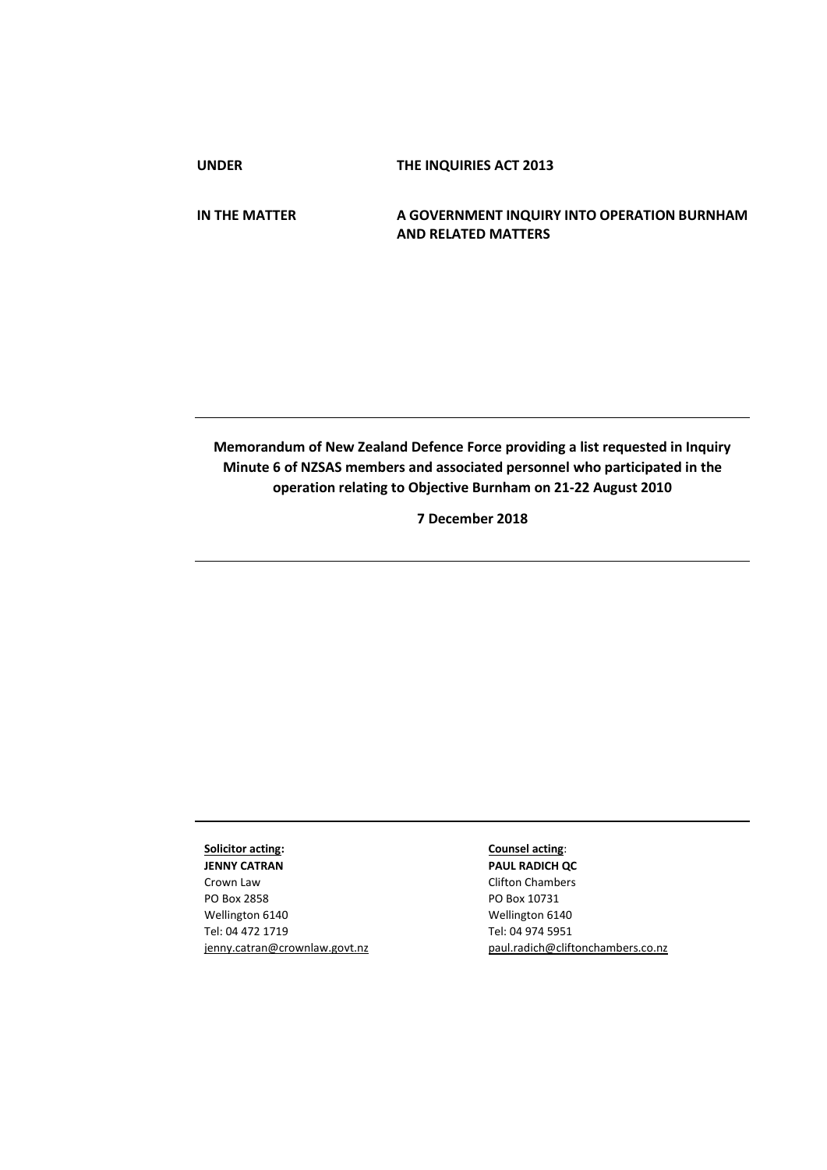**UNDER THE INQUIRIES ACT 2013**

**IN THE MATTER A GOVERNMENT INQUIRY INTO OPERATION BURNHAM AND RELATED MATTERS**

**Memorandum of New Zealand Defence Force providing a list requested in Inquiry Minute 6 of NZSAS members and associated personnel who participated in the operation relating to Objective Burnham on 21-22 August 2010**

**7 December 2018**

## **Solicitor acting:**

**JENNY CATRAN** Crown Law PO Box 2858 Wellington 6140 Tel: 04 472 1719 jenny.catran@crownlaw.govt.nz

## **Counsel acting**:

**PAUL RADICH QC** Clifton Chambers PO Box 10731 Wellington 6140 Tel: 04 974 5951 [paul.radich@cliftonchambers.co.nz](mailto:paul.radich@cliftonchambers.co.nz)